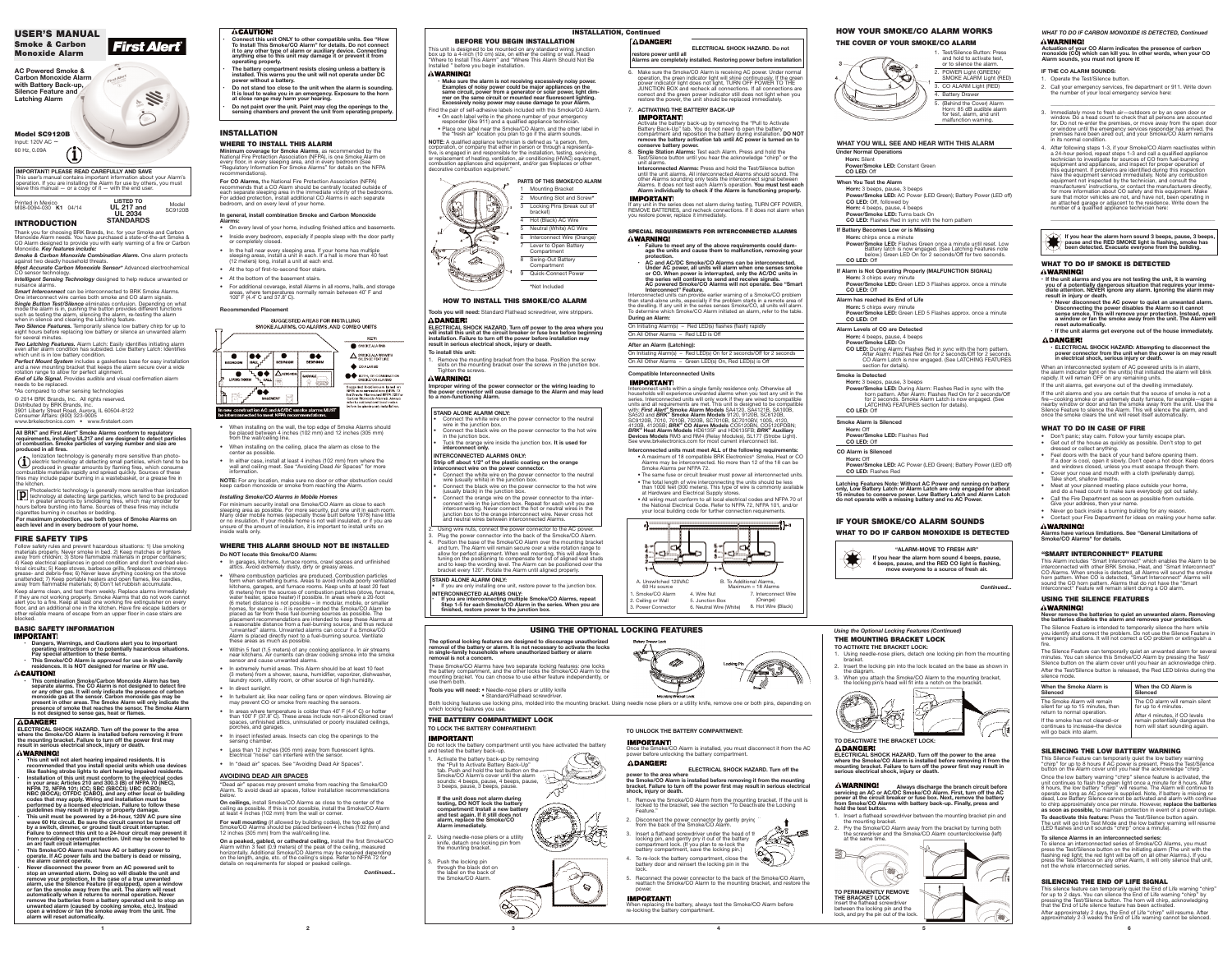**1 2 3**

## **INTRODUCTION**

Thank you for choosing BRK Brands, Inc. for your Smoke and Carbon<br>Monoxide Alarm needs. You have purchased a state-of-the-art Smoke &<br>CO Alarm designed to provide you with early warning of a fire or Carbon Monoxide. *Key features include:*

*Smoke & Carbon Monoxide Combination Alarm.* One alarm protects against two deadly household threats. *Most Accurate Carbon Monoxide Sensor\** Advanced electrochemical

CO sensor technology. *Intelligent Sensing Technology* designed to help reduce unwanted or

nuisance alarms. *Smart Interconnect* can be interconnected to BRK Smoke Alarms. One interconnect wire carries both smoke and CO alarm signals. *Single Button Test/Silence* eliminates confusion. Depending on what

mode the alarm is in, pushing the button provides different functions such as testing the alarm, silencing the alarm, re-testing the alarm when in silence and clearing the Latching feature. *Two Silence Features.* Temporarily silence low battery chirp for up to

eight hours before replacing low battery or silence an unwanted alarm for several minutes. *Two Latching Features.* Alarm Latch: Easily identifies initiating alarm

even after alarm condition has subsided. Low Battery Latch: Identifies which unit is in low battery condition.

*Perfect Mount System* includes a gasketless base for easy installation and a new mounting bracket that keeps the alarm secure over a wide rotation range to allow for perfect alignment.

*End of Life Signal.* Provides audible and visual confirmation alarm needs to be replaced.

**\***As compared to other sensing technologies

© 2014 BRK Brands, Inc. All rights reserved.

Distributed by BRK Brands, Inc. 3901 Liberty Street Road, Aurora, IL 60504-8122 Consumer Affairs: (800) 323-9005 www.brkelectronics.com • www.firstalert.com

### **FIRE SAFETY TIPS**

Follow safety rules and prevent hazardous situations: 1) Use smoking materials properly. Never smoke in bed. 2) Keep matches or lighters away from children; 3) Store flammable materials in proper containers; 4) Keep electrical appliances in good condition and don't overload electrical circuits; 5) Keep stoves, barbecue grills, fireplaces and chimneys grease- and debris-free; 6) Never leave anything cooking on the stove unattended; 7) Keep portable heaters and open flames, like candles, away from flammable materials; 8) Don't let rubbish accumulate.

Keep alarms clean, and test them weekly. Replace alarms immediately If they are not working properly. Smoke Alarms that do not work cannot alert you to a fire. Keep at least one working fire extinguisher on every floor, and an additional one in the kitchen. Have fire escape ladders or other reliable means of escape from an upper floor in case stairs are blocked.

**D** Photoelectric technology is generally more sensitive than ionization technology at detecting large particles, which tend to be produced in greater amounts by smoldering fires, which may smolder for hours before burstin cigarettes burning in couches or bedding.

For maximum protection, use both types of Smoke Alarms on<br>each level and in every bedroom of your home.

# **BASIC SAFETY INFORMATION**

- Dangers, Warnings, and Cautions alert you to important<br>operating instructions or to potentially hazardous situations.
- **Pay special attention to these items.** This Smoke/CO Alarm is approved for use in single-family<br>residences. It is NOT designed for marine or RV use.
- **ACAUTION!**

**• This combination Smoke/Carbon Monoxide Alarm has two separate alarms. The CO Alarm is not designed to detect fire or any other gas. It will only indicate the presence of carbon** monoxide gas at the sensor. Carbon monoxide gas may be<br>present in other areas. The Smoke Alarm will only indicate the **presence of smoke that reaches the sensor. The Smoke Alarm is not designed to sense gas, heat or flames.**

## **ADANGER!**

ELECTRICAL SHOCK HAZARD. Turn off the power to the area<br>where the Smoke/CO Alarm is installed before removing it from<br>the mounting bracket. Failure to turn off the power first may<br>result in serious electrical shock, injury AWARNINGI

- 
- This unit will not alert hearing impaired residents. It is<br>recommended that you install special units which use devices<br>like flashing strobe lights to alert hearing impaired residents. Installation of this unit must conform to the electrical codes<br>in your area; Articles 210 and 300.3 (B) of NFPA 70 (NEC),<br>NFPA 72, NFPA 101; ICC; SBC (SBCCI); UBC (ICBO);<br>NBC (BOCA); OTFDC (CABO), and any other local or bu codes that may apply. Wiring and installation must be<br>performed by a licensed electrician. Failure to follow these<br>guidelines may result in injury or property damage.
- **• This unit must be powered by a 24-hour, 120V AC pure sine wave 60 Hz circuit. Be sure the circuit cannot be turned off** by a switch, dimmer, or ground fault circuit interrupter.<br>Failure to connect this unit to a 24-hour circuit may prevent it **from providing constant protection. Unit may be connected to an arc fault circuit interrupter.**
- **• This Smoke/CO Alarm must have AC or battery power to operate. If AC power fails and the battery is dead or missing, the alarm cannot operate.**
- Never disconnect the power from an AC powered unit to<br>stop an unwanted alarm. Doing so will disable the unit and<br>remove your protection. In the case of a true unwanted<br>alarm, use the Silence Feature (if equipped), open a w
- 

### **ACAUTION!**

**All BRK® and First Alert ® Smoke Alarms conform to regulatory** requirements, including UL217 and are designed to detect particles<br>of combustion. Smoke particles of varying number and size are **produced in all fires.**

Ionization technology is generally more sensitive than photo-electric technology at detecting small particles, which tend to be produced in greater amounts by flaming fires, which consume combustible materials rapidly and spread quickly. Sources of these fires may include paper burning in a wastebasket, or a grease fire in the kitchen.

> "Dead air" spaces may prevent smoke from reaching the Smoke/CO Alarm. To avoid dead air spaces, follow installation recommendations

> **On ceilings,** install Smoke/CO Alarms as close to the center of the ceiling as possible. If this is not possible, install the Smoke/CO Alarm at least 4 inches (102 mm) from the wall or corner.

**On a peaked, gabled, or cathedral ceiling,** install the first Smoke/CO<br>Alarm within 3 feet (0.9 meters) of the peak of the ceiling, measured<br>horizontally. Additional Smoke/CO Alarms may be required depending on the length, angle, etc. of the ceiling's slope. Refer to NFPA <sup>72</sup> for details on requirements for sloped or peaked ceilings.

This unit is designed to be mounted on any standard wiring junction box up to a 4-inch (10 cm) size, on either the ceiling or wall. Read "Where to Install This Alarm" and "Where This Alarm Should Not Be Installed " before you begin installation.

## A WARNING!

decorative combustion equipment.'

D-

**4 5 6**

12

## **INSTALLATION**

## **WHERE TO INSTALL THIS ALARM**

 Mounting Bracket Mounting Slot and Screw**\*** Locking Pins (break out of bracket<sup>y</sup>

**Hot (Black) AC Wire** 5 Neutral (White) AC Wire

**Minimum coverage for Smoke Alarms**, as recommended by the every floor, in every sleeping area, and in every bedroom (See<br>"Regulatory Information For Smoke Alarms" for details on the NFPA recommendations).

- 6 Interconnect Wire (Orange)
- Lever to Open Battery Compartm
- 8 Swing-Out Battery
- **Compartment** 9 Quick-Connect Power

**ELECTRICAL SHOCK HAZARD. Turn off power to the area where you** will install this unit at the circuit breaker or fuse box before beginning<br>installation. Failure to turn off the power before installation may

**For CO Alarms,** the National Fire Protection Association (NFPA) recommends that a CO Alarm should be centrally located outside of each separate sleeping area in the immediate vicinity of the bedrooms. For added protection, install additional CO Alarms in each separate bedroom, and on every level of your home.

#### **In general, install combination Smoke and Carbon Monoxide Alarms:**

• On every level of your home, including finished attics and basements.

Using wire nuts, connect the power connector to the AC power. Plug the power connector into the back of the Smoke/CO Alarm. 4. Position the base of the Smoke/CO Alarm over the mounting bracket and turn. The Alarm will remain secure over a wide rotation range to<br>allow for perfect alignment. When wall mounting, this will allow fine-<br>tuning on the positioning to compensate for out of aligned wall studs and to keep the wording level. The Alarm can be positioned over the bracket every 120°. Rotate the Alarm until aligned properly.

If you are only installing one unit, restore power to the junction box. **INTERCONNECTED ALARMS ONLY: • If you are interconnecting multiple Smoke/CO Alarms, repeat** Step 1-5 for each Smoke/CO Alarm in the series. When you are<br>finished, restore power to the junction box.

The optional locking features are designed to discourage unauthorized<br>removal of the battery or alarm. It is not necessary to activate the locks<br>in single-family households where unauthorized battery or alarm

These Smoke/CO Alarms have two separate locking features: one locks<br>the battery compartment, and the other locks the Smoke/CO Alarm to the<br>mounting bracket. You can choose to use either feature independently, or<br>use them b

**Strip off about 1/2" of the plastic coating on the orange interpoon interpower connect** 

- Inside every bedroom, especially if people sleep with the door partly or completely closed.
- In the hall near every sleeping area. If your home has multiple sleeping areas, install a unit in each. If a hall is more than 40 feet (12 meters) long, install a unit at each end.
- At the top of first-to-second floor stairs.
- At the bottom of the basement stairs.
- For additional coverage, install Alarms in all rooms, halls, and storage areas, where temperatures normally remain between 40˚ F and 100˚ F (4.4˚ C and 37.8˚ C).

#### **Recommended Placement**

## SUGGESTED AREAS FOR INSTALLING



**• AC and AC/DC Smoke/CO Alarms can be interconnected.** Under AC power, all units will alarm when one senses smoke<br>or CO. When power is interrupted, only the AC/DC units in the series will continue to send and receive signals.<br>AC powered Smoke/CO Alarms will not operate. See "Smart

- When installing on the wall, the top edge of Smoke Alarms should be placed between 4 inches (102 mm) and 12 inches (305 mm) from the wall/ceiling line.
- When installing on the ceiling, place the alarm as close to the center as possible.
- In either case, install at least 4 inches (102 mm) from where the wall and ceiling meet. See "Avoiding Dead Air Spaces" for more information.

**Interconnect" Feature.** Interconnected units can provide earlier warning of a Smoke/CO problem<br>than stand-alone units, especially if the problem starts in a remote area of<br>the dwelling. If any unit in the series senses Smoke/CO, all units will al

**NOTE:** For any location, make sure no door or other obstruction could keep carbon monoxide or smoke from reaching the Alarm.

#### *Installing Smoke/CO Alarms in Mobile Homes*

For minimum security install one Smoke/CO Alarm as close to each<br>sleeping area as possible. For more security, put one unit in each room.<br>Many older mobile homes (especially those built before 1978) have little<br>or no insul

Interconnect units within a single family residence only. Otherwise all households will experience unwanted alarms when you test any unit in the series. Interconnected units will only work if they are wired to compatible<br>units and all requirements are met. This unit is designed to be compatible<br>with: *First Alert®* Smoke Alarm Models SA4120, SA4121B, SA100B,<br>SA520 *BRK®* **Heat Alarm Models** HD6135F and HD6135FB; *BRK®* **Auxiliary Devices Models** RM3 and RM4 (Relay Modules), SL177 (Strobe Light). See www.brkelectronics.com for most current interconnect list.

# **WHERE THIS ALARM SHOULD NOT BE INSTALLED**

Activate the battery back-up by removing the "Pull to Activate Battery Back-Up" tab. You do not need to open the battery **remove the battery activation tab until AC power is turned on to**

8. **Single Station Alarms:** Test each Alarm. Press and hold the ast/Silence button until you hear the acknowledge "chirp" or the

- **Do NOT locate this Smoke/CO Alarm:**
- In garages, kitchens, furnace rooms, crawl spaces and unfinished attics. Avoid extremely dusty, dirty or greasy areas.
- Where combustion particles are produced. Combustion particles form when something burns. Areas to avoid include poorly ventilated kitchens, garages, and furnace rooms. Keep units at least 20 feet (6 meters) from the sources of combustion particles (stove, furnace, water heater, space heater) if possible. In areas where a 20-foot (6 meter) distance is not possible – in modular, mobile, or smaller homes, for example – it is recommended the Smoke/CO Alarm be placed as far from these fuel-burning sources as possible. The placement recommendations are Alarm is placed directly next to <sup>a</sup> fuel-burning source. Ventilate these areas as much as possible.
- Within <sup>5</sup> feet (1.5 meters) of any cooking appliance. In air streams near kitchens. Air currents can draw cooking smoke into the smoke sensor and cause unwanted alarms.
- In extremely humid areas. This Alarm should be at least 10 feet (3 meters) from a shower, sauna, humidifier, vaporizer, dishwasher, laundry room, utility room, or other source of high humidity.
- In direct sunlight.
- In turbulent air, like near ceiling fans or open windows. Blowing air may prevent CO or smoke from reaching the sensors.
- In areas where temperature is colder than 40˚ F (4.4˚ C) or hotter than 100˚ F (37.8˚ C). These areas include non-airconditioned crawl spaces, unfinished attics, uninsulated or poorly insulated ceilings. porches, and garages.
- In insect infested areas. Insects can clog the openings to the sensing chamber.
- Less than <sup>12</sup> inches (305 mm) away from fluorescent lights. Electrical "noise" can interfere with the sensor.
- In "dead air" spaces. See "Avoiding Dead Air Spaces".

Smoke/CO Alarm 2. Ceiling or Wall 3. Power Connector

licid

لحريم

and hold to activate test or to silence the alarm. 2. POWER Light (GREEN)/ SMOKE ALARM Light (RED) 3. CO ALARM Light (RED) 4. Battery Drawer

. (Behind the Cover) Alarm Horn: 85 dB audible alarm for test, alarm, and unit malfunction warning.

#### **AVOIDING DEAD AIR SPACES**

2. Using needle-nose pliers or a utility knife, detach one locking pin from<br>the mounting bracket.

- 1. Using needle-nose pliers, detach one locking pin from the mounting bracket.
- 2. Insert the locking pin into the lock located on the base as shown in the diagram.
- 3. When you attach the Smoke/CO Alarm to the mounting bracket, the locking pin's head will fit into a notch on the bracket.



**TO DEACTIVATE THE BRACKET LOCK: ADANGER!** 

**For wall mounting** (if allowed by building codes), the top edge of Smoke/CO Alarms should be placed between 4 inches (102 mm) and 12 inches (305 mm) from the wall/ceiling line.

# **A WARTIME!** Always discharge the branch circuit before<br>servicing an AC or AC/DC Smoke/CO Alarm. First, turn off the AC<br>power at the circuit breaker or fuse box. Next, remove the battery<br>from Smoke/CO Alarms with battery b **hold the test button.**

- 1. Insert a flathead screwdriver between the mounting bracket pin and he mounting bracket
- 2. Pry the Smoke/CO Alarm away from the bracket by turning both<br>the screwdriver and the Smoke/CO Alarm counterclockwise (left)<br>at the same time. 9)- $\Rightarrow$ **AR**  $\bigcirc$

**TO PERMANENTLY REMOVE THE BRACKET LOCK** Insert the flathead screwdriver<br>between the locking pin and the lock, and pry the pin out of the lock

*Continued...*

- **• Make sure the alarm is not receiving excessively noisy power. Examples of noisy power could be major appliances on the** same circuit, power from a generator or solar power, light dim-<br>mer on the same circuit or mounted near fluorescent lighting. **Excessively noisy power may cause damage to your Alarm.**
- ind the pair of self-adhesive labels included with this Smoke/CO Alarm. • On each label write in the phone number of your emergency responder (like 911) and a qualified appliance technician. • Place one label near the Smoke/CO Alarm, and the other label in

the "fresh air" location you plan to go if the alarm sounds. **NOTE:** A qualified appliance technician is defined as "a person, firm, corporation, or company that either in person or through a representative, is engaged in and responsible for the installation, testing, servicing,<br>or replacement of heating, ventilation, air conditioning (HVAC) equipment, combustion appliances and equipment, and/or gas fireplaces or other

**\***Not Included

#### **PARTS OF THIS SMOKE/CO ALARM**

## **Tools you will need:** Standard Flathead screwdriver, wire strippers.

- f the unit alarms and you are not testing the unit, it is warning<br>you of a potentially dangerous situation that requires your imme-<br>diate attention. NEVER ignore any alarm. Ignoring the alarm may **result in injury or death.**
- · Never disconnect the AC power to quiet an unwanted alarm.<br>Disconnecting the power disables the Alarm so it cannot **sense smoke. This will remove your protection. Instead, open a window or fan the smoke away from the unit. The Alarm will**
- **reset automatically. • If the unit alarms get everyone out of the house immediately.**
- **ADANGER! • ELECTRICAL SHOCK HAZARD: Attempting to disconnect the**
- **power connector from the unit when the power is on may result in electrical shock, serious injury or death.**

When an interconnected system of AC powered units is in alarm the alarm indicator light on the unit(s) that initiated the alarm will blink rapidly. It will remain OFF on any remaining units.

**result in serious electrical shock, injury or death.**

**To install this unit:**

**AWARNING!** 

**ADANGER!** 

If the unit alarms and you are certain that the source of smoke is not a<br>fire—cooking smoke or an extremely dusty furnace, for example—open a nearby window or door and fan the smoke away from the unit. Use the Silence Feature to silence the Alarm. This will silence the alarm, and once the smoke clears the unit will reset itself automatically.

1. Remove the mounting bracket from the base. Position the screw slots on the mounting bracket over the screws in the junction box. Tighten the screws.

**Improper wiring of the power connector or the wiring leading to the power connector will cause damage to the Alarm and may lead to a non-functioning Alarm.**

*WHAT TO DO IF CARBON MONOXIDE IS DETECTED, Continued* **AWARNING!** 

**STAND ALONE ALARM ONLY:**

### Actuation of your CO Alarm indicates the presence of carbon<br>monoxide (CO) which can kill you. In other words, when your CO **Alarm sounds, you must not ignore it!**

• Connect the white wire on the power connector to the neutral

Connect the black wire on the power connector to the hot wire

wire in the junction box.

in the junction box.

• Tuck the orange wire inside the junction box. **It is used for**

**interconnect only. INTERCONNECTED ALARMS ONLY:**

- Connect this unit ONLY to other compatible units. See "How<br>To Install This Smoke/CO Alarm" for details. Do not connect **it to any other type of alarm or auxiliary device. Connecting anything else to this unit may damage it or prevent it from operating properly.**
- **• The battery compartment resists closing unless a battery is installed. This warns you the unit will not operate under DC power without a battery.**
- Do not stand too close to the unit when the alarm is sounding<br>It is loud to wake you in an emergency. Exposure to the horn<br>at close range may harm your hearing.
- **• Do not paint over the unit. Paint may clog the openings to the sensing chambers and prevent the unit from operating properly.**

## **AC Powered Smoke & Carbon Monoxide Alarm** First Alert **with Battery Back-up, Silence Feature and** iffo **Latching Alarm Model SC9120B** Input: 120V AC ~ 60 Hz, 0.09A  $\left( \mathbf{j}\right)$

• Connect the white wire on the power connector to the neutral

wire (usually white) in the junction box.

• Connect the black wire on the power connector to the hot wire (usually black) in the junction box. Connect the orange wire on the power connector to the interconnect wire in the junction box. Repeat for each unit you are interconnecting. Never connect the hot or neutral wires in the junction box to the orange interconnect wire. Never cross hot and neutral wires between interconnected Alarms.

#### **SPECIAL REQUIREMENTS FOR INTERCONNECTED ALARMS**

**• Failure to meet any of the above requirements could damage the units and cause them to malfunction, removing your protection.**

#### **BEFORE YOU BEGIN INSTALLATION INSTALLATION, Continued**

**During an Alarm:**

On Initiating Alarm(s) – Red LED(s) flashes (flash) rapidly On All Other Alarms – Red LED is Off

**After an Alarm (Latching):**

**IMPORTANT!** 

On Initiating Alarm(s) – Red LED(s) On for 2 seconds/Off for 2 seconds On All Other Alarms – Green LED(s) On, Red LED(s) is Off

**Compatible Interconnected Units**

The Silence Feature can temporarily quiet an unwanted alarm for several<br>minutes. You can silence this Smoke/CO Alarm by pressing the Test/<br>Silence button on the alarm cover until you hear an acknowledge chirp. After the Test/Silence button is released, the Red LED blinks during the

**Interconnected units must meet ALL of the following requirements:** • A maximum of 18 compatible BRK Electronics® Smoke, Heat or CO Alarms may be interconnected. No more than 12 of the 18 can be Smoke Alarms per NFPA 72.

> The CO alarm will rem for up to 4 minutes. After 4 minutes, if CO levels remain potentially dangerous the horn will start sounding again.

• The same fuse or circuit breaker must power all interconnected units. • The total length of wire interconnecting the units should be less than 1000 feet (300 meters). This type of wire is commonly available at Hardware and Electrical Supply stores.

• All wiring must conform to all local electrical codes and NFPA 70 of the National Electrical Code. Refer to NFPA 72, NFPA 101, and/or your local building code for further connection requirements.

6. Make sure the Smoke/CO Alarm is receiving AC power. Under normal operation, the green indicator light will shine continuously. If the green power indicator light does not light, TURN OFF POWER TO THE JUNCTION BOX and recheck all connections. If all connections are correct and the green power indicator still does not light when you restore the power, the unit should be replaced immediately 7. **ACTIVATING THE BATTERY BACK-UP**

**conserve battery power.**

**IMPORTANT!** 

**IMPORTANT!** 

**AWARNING!** 

unit alarms. **Interconnected Alarms:** Press and hold the Test/Silence button until the unit alarms. All interconnected Alarms should sound. The<br>other Alarms sounding only tests the interconnect signal between<br>Alarms. It does not test each Alarm's operation. **You must test each Alarm individually to check if the Alarm is functioning properly.**

If any unit in the series does not alarm during testing, TURN OFF POWER, REMOVE BATTERIES, and recheck connections. If it does not alarm when you restore power, replace it immediately.



| USING THE OPTIONAL LOCKING FEATURES                                                              |                     |  |  |  |
|--------------------------------------------------------------------------------------------------|---------------------|--|--|--|
| ned to discourage unauthorized<br>t necessary to activate the locks<br>thorized battery or alarm | Battery Drawer Lock |  |  |  |



Both locking features use locking pins, molded into the mounting bracket. Using needle nose pliers or a utility knife, remove one or both pins, depending on which locking features you use.

**STAND ALONE ALARM ONLY:**

#### **ELECTRICAL SHOCK HAZARD. Do not**

**restore power until all**

**ADANGER!** 

**Alarms are completely installed. Restoring power before installation**

## **HOW TO INSTALL THIS SMOKE/CO ALARM**

1. Test/Silence Button: Press **THE COVER OF YOUR SMOKE/CO ALARM**



## **HOW YOUR SMOKE/CO ALARM WORKS**

**removal is not a concern.**

**Tools you will need:** • Needle-nose pliers or utility knife

• Standard/Flathead screwdriver.

**THE BATTERY COMPARTMENT LOCK TO LOCK THE BATTERY COMPARTMENT:**

Activate the battery back-up by removing the "Pull to Activate Battery Back-Up"<br>tab. Push and hold the test button on the Smoke/CO Alarm's cover until the alarm<br>sounds: 4 beeps, pause, 4 beeps, pause, 3 beeps, pause, 3 beeps, pause, 3 beeps, pause.

Do not lock the battery compartment until you have activated the battery

ختانا  $\mathbb{R}^3$ 

( JA

< to

ఖ

and tested the battery back-up.

**IMPORTANT!** 

**If the unit does not alarm during** testing, DO NOT lock the battery<br>compartment! Install a new battery<br>and test again. If it still does not **alarm, replace the Smoke/CO**

**Alarm immediately.**

3. Push the locking pin through the black dot on the label on the back of the Smoke/CO Alarm.

**ELECTRICAL SHOCK HAZARD. Turn off the power to the area where the Smoke/CO Alarm is installed before removing it from the mounting bracket. Failure to turn off the power first may result in serious electrical shock, injury or death.**

### **TO UNLOCK THE BATTERY COMPARTMENT:**

Once the Smoke/CO Alarm is installed, you must disconnect it from the AC power before unlocking the battery compartment.

**ELECTRICAL SHOCK HAZARD. Turn off the power to the area where the Smoke/CO Alarm is installed before removing it from the mounting bracket. Failure to turn off the power first may result in serious electrical**

**shock, injury or death.**

**IMPORTANT!** 

**ADANGER!** 

1. Remove the Smoke/CO Alarm from the mounting bracket. If the unit is locked to the bracket, see the section "To Deactivate the Locking

-425

2. Disconnect the power connector by gently prying it according the back of the Smoke/CO Alarm. 3. Insert a flathead screwdriver under the head of the locking pin, and gently pry it out of the battery compartment lock. (If you plan to re-lock the battery compartment, save the locking pin.)

Feature."

4. To re-lock the battery compartment, close the battery door and reinsert the locking pin in the lock.

5. Reconnect the power connector to the back of the Smoke/CO Alarm, reattach the Smoke/CO Alarm to the mounting bracket, and restore the

power.

**IMPORTANT!** 

When replacing the battery, always test the Smoke/CO Alarm before re-locking the battery compartment.

## **IF YOUR SMOKE/CO ALARM SOUNDS WHAT TO DO IF CARBON MONOXIDE IS DETECTED**

*Continued...*

- **IF THE CO ALARM SOUNDS:**
- 1. Operate the Test/Silence button.
- 2. Call your emergency services, fire department or 911. Write down the number of your local emergency service here:
- $\overline{\phantom{a}}$  , and the contribution of the contribution of  $\overline{\phantom{a}}$  , and  $\overline{\phantom{a}}$  , and  $\overline{\phantom{a}}$  , and  $\overline{\phantom{a}}$  , and  $\overline{\phantom{a}}$  , and  $\overline{\phantom{a}}$  , and  $\overline{\phantom{a}}$  , and  $\overline{\phantom{a}}$  , and  $\overline{\phantom{a}}$  , and 3. Immediately move to fresh air—outdoors or by an open door or window. Do <sup>a</sup> head count to check that all persons are accounted or window until the emergency services responder has arrived, the premises have been aired out, and your Smoke/CO Alarm remains in its normal condition.
- 4. After following steps 1-3, if your Smoke/CO Alarm reactivates within a 24-hour period, repeat steps 1-3 and call a qualified appliance technician to investigate for sources of CO from fuel-burning equipment and appliances, and inspect for proper operation of this equipment. If problems are identified during this inspection have the equipment serviced immediately. Note any combustion equipment not inspected by the technician, and consult the manufacturers' instructions, or contact the manufacturers directly, for more information about CO safety and this equipment. Make sure that motor vehicles are not, and have not, been operating in an attached garage or adjacent to the residence. Write down the number of a qualified appliance technician here:

#### **THE MOUNTING BRACKET LOCK TO ACTIVATE THE BRACKET LOCK:** *Using the Optional Locking Features (Continued)*

### **WHAT TO DO IF SMOKE IS DETECTED**

#### **AWARNINGI**

If the unit alarms, get everyone out of the dwelling immediately.

#### **WHAT TO DO IN CASE OF FIRE**

- Don't panic; stay calm. Follow your family escape plan. • Get out of the house as quickly as possible. Don't stop to get dressed or collect anything.
- Feel doors with the back of your hand before opening them. If a door is cool, open it slowly. Don't open a hot door. Keep doors and windows closed, unless you must escape through them.
- Cover your nose and mouth with a cloth (preferably damp).
- Take short, shallow breaths.<br>• Meet at your planned meeting place outside your home, and do a head count to make sure everybody got out safely.
- Call the Fire Department as soon as possible from outside. Give your address, then your name.
- Never go back inside a burning building for any reason. • Contact your Fire Department for ideas on making your home safer.

#### **AWARNINGI**

**Alarms have various limitations. See "General Limitations of Smoke/CO Alarms" for details.**

This Alarm includes "Smart Interconnect" which enables the Alarm to be<br>interconnected with other BRK Smoke, Heat, and "Smart Interconnect"<br>CO Alarms. When smoke is detected, all Alarms will sound the smoke

horn pattern. When CO is detected, "Smart Interconnect" Alarms will<br>sound the CO horn pattern. Alarms that do not have the "Smart<br>Interconnect" Feature will remain silent during a CO alarm.

#### **"SMART INTERCONNECT" FEATURE**

## **If you hear the alarm horn sound 3 beeps, pause, 3 beeps, pause and the RED SMOKE light is flashing, smoke has been detected. Evacuate everyone from the building.**

 $\overline{\phantom{a}}$  , and the contribution of the contribution of  $\overline{\phantom{a}}$  , and  $\overline{\phantom{a}}$  , and  $\overline{\phantom{a}}$  , and  $\overline{\phantom{a}}$  , and  $\overline{\phantom{a}}$  , and  $\overline{\phantom{a}}$  , and  $\overline{\phantom{a}}$  , and  $\overline{\phantom{a}}$  , and  $\overline{\phantom{a}}$  , and

# **USER'S MANUAL**

**Smoke & Carbon Monoxide Alarm**



**IMPORTANT! PLEASE READ CAREFULLY AND SAVE** This user's manual contains important information about your Alarm's operation. If you are installing the Alarm for use by others, you must leave this manual — or a copy of it — with the end user.

Printed in Mexico M08-0094-030 **K1** 04/14

Model SC9120B **LISTED TO UL 217 and UL 2034 STANDARDS**



#### **WHAT YOU WILL SEE AND HEAR WITH THIS ALARM Under Normal Operations**

**Horn:** Silent **Power/Smoke LED:** Constant Green **CO LED:** Off

### **When You Test the Alarm**

**Horn:** 3 beeps, pause, 3 beeps **Power/Smoke LED:** AC Power (LED Green); Battery Power (LED off) **CO LED:** Off, followed by

- **Horn:** 4 beeps, pause, 4 beeps **Power/Smoke LED:** Turns back On
- **CO LED:** Flashes Red in sync with the horn pattern
- **If Battery Becomes Low or is Missing**
- **Horn:** chirps once a minute

**Power/Smoke LED:** Flashes Green once a minute until reset. Low Battery latch is now engaged. (See Latching Features note below.) Green LED On for 2 seconds/Off for two seconds. **CO LED:** Off

**If Alarm is Not Operating Properly (MALFUNCTION SIGNAL)**

**Horn:** 3 chirps every minute **Power/Smoke LED:** Green LED 3 Flashes approx. once a minute **CO LED:** Off

#### **Alarm has reached its End of Life**

**Horn:** 5 chirps every minute **Power/Smoke LED:** Green LED 5 Flashes approx. once a minute **CO LED:** Off

- **Alarm Levels of CO are Detected**
- **Horn:** 4 beeps, pause, 4 beeps **Power/Smoke LED:** On
- **CO LED:** During Alarm: Flashes Red in sync with the horn pattern. After Alarm: Flashes Red On for 2 seconds/Off for 2 seconds. CO Alarm Latch is now engaged. (See LATCHING FEATURES section for details).

**Smoke is Detected**

**Horn:** 3 beeps, pause, 3 beeps **Power/Smoke LED:** During Alarm: Flashes Red in sync with the horn pattern. After Alarm: Flashes Red On for <sup>2</sup> seconds/Off for <sup>2</sup> seconds. Smoke Alarm Latch is now engaged. (See LATCHING FEATURES section for details). **CO LED:** Off

**Smoke Alarm is Silenced**

**Horn:** Off

**Power/Smoke LED:** Flashes Red **CO LED:** Off

#### **CO Alarm is Silenced**

**Horn:** Off **Power/Smoke LED:** AC Power (LED Green); Battery Power (LED off) **CO LED:** Flashes Red

Latching Features Note: Without AC Power and running on battery<br>only, Low Battery Latch or Alarm Latch are only engaged for about<br>15 minutes to conserve power. Low Battery Latch and Alarm Latch<br>do not operate with a missin

**USING THE SILENCE FEATURES**

**Never remove the batteries to quiet an unwanted alarm. Removing the batteries disables the alarm and removes your protection.** The Silence Feature is intended to temporarily silence the horn while you identify and correct the problem. Do not use the Silence Feature in emergency situations. It will not correct <sup>a</sup> CO problem or extinguish <sup>a</sup> fire.

silence mode.

**SILENCING THE LOW BATTERY WARNING**

This Silence Feature can temporarily quiet the low battery warning "chirp" for up to <sup>8</sup> hours if AC power is present. Press the Test/Silence button on the Alarm cover until you hear the acknowledge "chirp".

Once the low battery warning "chirp" silence feature is activated, the unit continues to flash the green light once a minute for 8 hours. After 8 hours, the low battery "chirp" will resume. The Alarm will continue to opera

**To deactivate this feature:** Press the Test/Silence button again. The unit will go into Test Mode and the low battery warning will resume (LED flashes and unit sounds "chirp" once <sup>a</sup> minute).

To silence an interconnected series of Smoke/CO Alarms, you must<br>press the Test/Silence button on the initiating alarm (The unit with the flashing red light; the red light will be off on all other Alarms.). If you<br>press the Test/Silence on any other Alarm, it will only silence that unit,<br>not the whole interconnected series.

**To silence Alarms in an interconnected series:**

**When the Smoke Alarm is**

**Silenced**

**When the CO Alarm is**

**Silenced**

The Smoke Alarm will remain silent for up to <sup>15</sup> minutes, then return to normal operation. If the smoke has not cleared–or continues to increase–the device will go back into alarm.

**SILENCING THE END OF LIFE SIGNAL**

This silence feature can temporarily quiet the End of Life warning "chirp" for up to 2 days. You can silence the End of Life warning "chirp" by<br>pressing the Test/Silence button. The horn will chirp, acknowledging<br>that the End of Life silence feature has been activated. After approximately 2 days, the End of Life "chirp" will resume. After approximately 2-3 weeks the End of Life warning cannot be silenced.